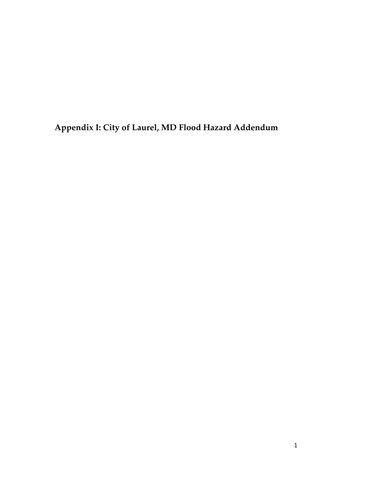**Appendix I: City of Laurel, MD Flood Hazard Addendum**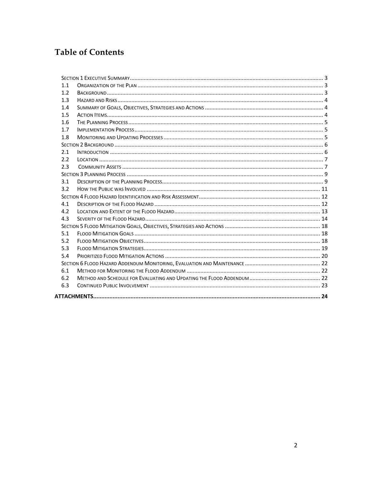# **Table of Contents**

| 1.1 |  |
|-----|--|
| 1.2 |  |
| 1.3 |  |
| 1.4 |  |
| 1.5 |  |
| 1.6 |  |
| 1.7 |  |
| 1.8 |  |
|     |  |
| 2.1 |  |
| 2.2 |  |
| 2.3 |  |
|     |  |
| 3.1 |  |
| 3.2 |  |
|     |  |
| 4.1 |  |
| 4.2 |  |
| 4.3 |  |
|     |  |
| 5.1 |  |
| 5.2 |  |
| 5.3 |  |
| 5.4 |  |
|     |  |
| 6.1 |  |
| 6.2 |  |
| 6.3 |  |
|     |  |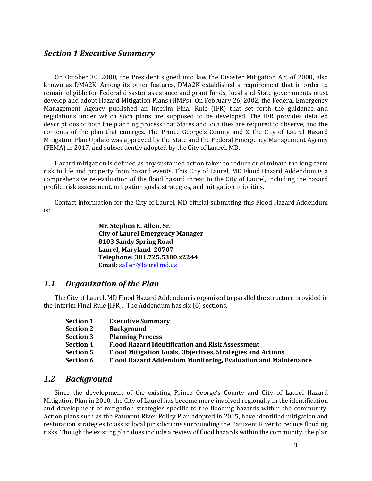### *Section 1 Executive Summary*

On October 30, 2000, the President signed into law the Disaster Mitigation Act of 2000, also known as DMA2K. Among its other features, DMA2K established a requirement that in order to remain eligible for Federal disaster assistance and grant funds, local and State governments must develop and adopt Hazard Mitigation Plans (HMPs). On February 26, 2002, the Federal Emergency Management Agency published an Interim Final Rule (IFR) that set forth the guidance and regulations under which such plans are supposed to be developed. The IFR provides detailed descriptions of both the planning process that States and localities are required to observe, and the contents of the plan that emerges. The Prince George's County and & the City of Laurel Hazard Mitigation Plan Update was approved by the State and the Federal Emergency Management Agency (FEMA) in 2017, and subsequently adopted by the City of Laurel, MD.

Hazard mitigation is defined as any sustained action taken to reduce or eliminate the long-term risk to life and property from hazard events. This City of Laurel, MD Flood Hazard Addendum is a comprehensive re-evaluation of the flood hazard threat to the City of Laurel, including the hazard profile, risk assessment, mitigation goals, strategies, and mitigation priorities.

Contact information for the City of Laurel, MD official submitting this Flood Hazard Addendum is:

> **Mr. Stephen E. Allen, Sr. City of Laurel Emergency Manager 8103 Sandy Spring Road** Laurel, Maryland 20707 **Telephone: 301.725.5300 x2244 Email:** sallen@laurel.md.us

### 1.1 Organization of the Plan

The City of Laurel, MD Flood Hazard Addendum is organized to parallel the structure provided in the Interim Final Rule [IFR]. The Addendum has  $six(6)$  sections.

| <b>Section 1</b> | <b>Executive Summary</b>                                     |
|------------------|--------------------------------------------------------------|
| <b>Section 2</b> | <b>Background</b>                                            |
| <b>Section 3</b> | <b>Planning Process</b>                                      |
| <b>Section 4</b> | <b>Flood Hazard Identification and Risk Assessment</b>       |
| <b>Section 5</b> | Flood Mitigation Goals, Objectives, Strategies and Actions   |
| <b>Section 6</b> | Flood Hazard Addendum Monitoring, Evaluation and Maintenance |

## *1.2 Background*

Since the development of the existing Prince George's County and City of Laurel Hazard Mitigation Plan in 2010, the City of Laurel has become more involved regionally in the identification and development of mitigation strategies specific to the flooding hazards within the community. Action plans such as the Patuxent River Policy Plan adopted in 2015, have identified mitigation and restoration strategies to assist local jurisdictions surrounding the Patuxent River to reduce flooding risks. Though the existing plan does include a review of flood hazards within the community, the plan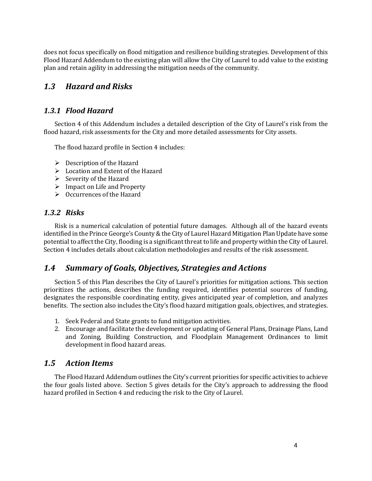does not focus specifically on flood mitigation and resilience building strategies. Development of this Flood Hazard Addendum to the existing plan will allow the City of Laurel to add value to the existing plan and retain agility in addressing the mitigation needs of the community.

## *1.3 Hazard and Risks*

## *1.3.1 Flood Hazard*

Section 4 of this Addendum includes a detailed description of the City of Laurel's risk from the flood hazard, risk assessments for the City and more detailed assessments for City assets.

The flood hazard profile in Section 4 includes:

- $\triangleright$  Description of the Hazard
- $\triangleright$  Location and Extent of the Hazard
- $\triangleright$  Severity of the Hazard
- $\triangleright$  Impact on Life and Property
- $\triangleright$  Occurrences of the Hazard

### *1.3.2 Risks*

Risk is a numerical calculation of potential future damages. Although all of the hazard events identified in the Prince George's County & the City of Laurel Hazard Mitigation Plan Update have some potential to affect the City, flooding is a significant threat to life and property within the City of Laurel. Section 4 includes details about calculation methodologies and results of the risk assessment.

## *1.4 Summary of Goals, Objectives, Strategies and Actions*

Section 5 of this Plan describes the City of Laurel's priorities for mitigation actions. This section prioritizes the actions, describes the funding required, identifies potential sources of funding, designates the responsible coordinating entity, gives anticipated year of completion, and analyzes benefits. The section also includes the City's flood hazard mitigation goals, objectives, and strategies.

- 1. Seek Federal and State grants to fund mitigation activities.
- 2. Encourage and facilitate the development or updating of General Plans, Drainage Plans, Land and Zoning, Building Construction, and Floodplain Management Ordinances to limit development in flood hazard areas.

## *1.5 Action Items*

The Flood Hazard Addendum outlines the City's current priorities for specific activities to achieve the four goals listed above. Section 5 gives details for the City's approach to addressing the flood hazard profiled in Section 4 and reducing the risk to the City of Laurel.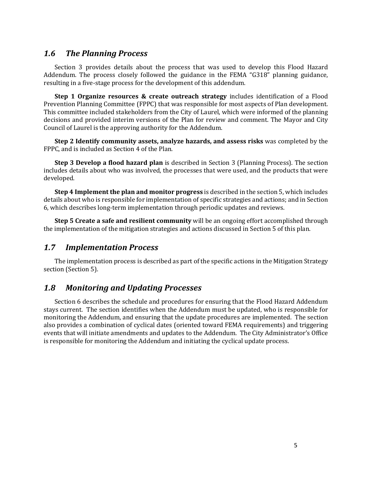## **1.6**  The Planning Process

Section 3 provides details about the process that was used to develop this Flood Hazard Addendum. The process closely followed the guidance in the FEMA "G318" planning guidance, resulting in a five-stage process for the development of this addendum.

**Step 1 Organize resources & create outreach strategy** includes identification of a Flood Prevention Planning Committee (FPPC) that was responsible for most aspects of Plan development. This committee included stakeholders from the City of Laurel, which were informed of the planning decisions and provided interim versions of the Plan for review and comment. The Mayor and City Council of Laurel is the approving authority for the Addendum.

**Step 2 Identify community assets, analyze hazards, and assess risks** was completed by the FPPC, and is included as Section 4 of the Plan.

**Step 3 Develop a flood hazard plan** is described in Section 3 (Planning Process). The section includes details about who was involved, the processes that were used, and the products that were developed. 

**Step 4 Implement the plan and monitor progress** is described in the section 5, which includes details about who is responsible for implementation of specific strategies and actions; and in Section 6, which describes long-term implementation through periodic updates and reviews.

**Step 5 Create a safe and resilient community** will be an ongoing effort accomplished through the implementation of the mitigation strategies and actions discussed in Section 5 of this plan.

## *1.7 Implementation Process*

The implementation process is described as part of the specific actions in the Mitigation Strategy section (Section 5).

## *1.8 Monitoring and Updating Processes*

Section 6 describes the schedule and procedures for ensuring that the Flood Hazard Addendum stays current. The section identifies when the Addendum must be updated, who is responsible for monitoring the Addendum, and ensuring that the update procedures are implemented. The section also provides a combination of cyclical dates (oriented toward FEMA requirements) and triggering events that will initiate amendments and updates to the Addendum. The City Administrator's Office is responsible for monitoring the Addendum and initiating the cyclical update process.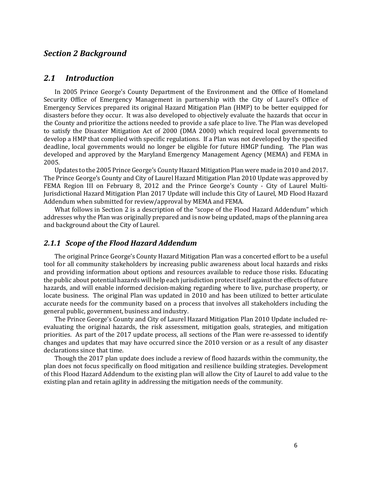### *Section 2 Background*

## *2.1 Introduction*

In 2005 Prince George's County Department of the Environment and the Office of Homeland Security Office of Emergency Management in partnership with the City of Laurel's Office of Emergency Services prepared its original Hazard Mitigation Plan (HMP) to be better equipped for disasters before they occur. It was also developed to objectively evaluate the hazards that occur in the County and prioritize the actions needed to provide a safe place to live. The Plan was developed to satisfy the Disaster Mitigation Act of 2000 (DMA 2000) which required local governments to develop a HMP that complied with specific regulations. If a Plan was not developed by the specified deadline, local governments would no longer be eligible for future HMGP funding. The Plan was developed and approved by the Maryland Emergency Management Agency (MEMA) and FEMA in 2005. 

Updates to the 2005 Prince George's County Hazard Mitigation Plan were made in 2010 and 2017. The Prince George's County and City of Laurel Hazard Mitigation Plan 2010 Update was approved by FEMA Region III on February 8, 2012 and the Prince George's County - City of Laurel Multi-Jurisdictional Hazard Mitigation Plan 2017 Update will include this City of Laurel, MD Flood Hazard Addendum when submitted for review/approval by MEMA and FEMA.

What follows in Section 2 is a description of the "scope of the Flood Hazard Addendum" which addresses why the Plan was originally prepared and is now being updated, maps of the planning area and background about the City of Laurel.

#### *2.1.1 Scope of the Flood Hazard Addendum*

The original Prince George's County Hazard Mitigation Plan was a concerted effort to be a useful tool for all community stakeholders by increasing public awareness about local hazards and risks and providing information about options and resources available to reduce those risks. Educating the public about potential hazards will help each jurisdiction protect itself against the effects of future hazards, and will enable informed decision-making regarding where to live, purchase property, or locate business. The original Plan was updated in 2010 and has been utilized to better articulate accurate needs for the community based on a process that involves all stakeholders including the general public, government, business and industry.

The Prince George's County and City of Laurel Hazard Mitigation Plan 2010 Update included reevaluating the original hazards, the risk assessment, mitigation goals, strategies, and mitigation priorities. As part of the 2017 update process, all sections of the Plan were re-assessed to identify changes and updates that may have occurred since the 2010 version or as a result of any disaster declarations since that time.

Though the 2017 plan update does include a review of flood hazards within the community, the plan does not focus specifically on flood mitigation and resilience building strategies. Development of this Flood Hazard Addendum to the existing plan will allow the City of Laurel to add value to the existing plan and retain agility in addressing the mitigation needs of the community.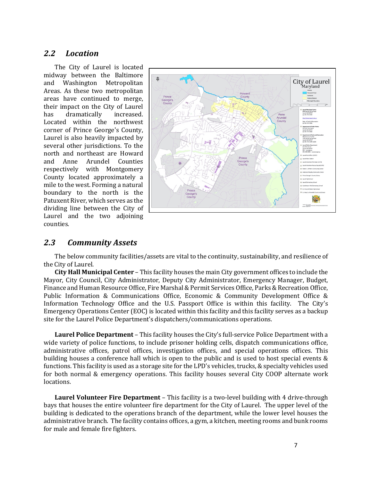## *2.2 Location*

The City of Laurel is located midway between the Baltimore and Washington Metropolitan Areas. As these two metropolitan areas have continued to merge, their impact on the City of Laurel has dramatically increased. Located within the northwest corner of Prince George's County, Laurel is also heavily impacted by several other jurisdictions. To the north and northeast are Howard and Anne Arundel Counties respectively with Montgomery County located approximately a mile to the west. Forming a natural boundary to the north is the Patuxent River, which serves as the dividing line between the City of Laurel and the two adjoining counties.



## *2.3 Community Assets*

The below community facilities/assets are vital to the continuity, sustainability, and resilience of the City of Laurel.

**City Hall Municipal Center** – This facility houses the main City government offices to include the Mayor, City Council, City Administrator, Deputy City Administrator, Emergency Manager, Budget, Finance and Human Resource Office, Fire Marshal & Permit Services Office, Parks & Recreation Office, Public Information & Communications Office, Economic & Community Development Office & Information Technology Office and the U.S. Passport Office is within this facility. The City's Emergency Operations Center (EOC) is located within this facility and this facility serves as a backup site for the Laurel Police Department's dispatchers/communications operations.

**Laurel Police Department** – This facility houses the City's full-service Police Department with a wide variety of police functions, to include prisoner holding cells, dispatch communications office, administrative offices, patrol offices, investigation offices, and special operations offices. This building houses a conference hall which is open to the public and is used to host special events & functions. This facility is used as a storage site for the LPD's vehicles, trucks, & specialty vehicles used for both normal & emergency operations. This facility houses several City COOP alternate work locations. 

**Laurel Volunteer Fire Department** – This facility is a two-level building with 4 drive-through bays that houses the entire volunteer fire department for the City of Laurel. The upper level of the building is dedicated to the operations branch of the department, while the lower level houses the administrative branch. The facility contains offices, a gym, a kitchen, meeting rooms and bunk rooms for male and female fire fighters.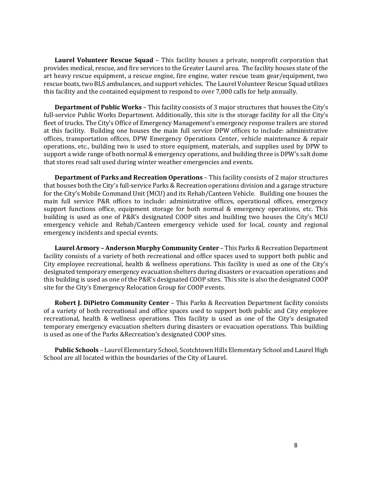**Laurel Volunteer Rescue Squad** – This facility houses a private, nonprofit corporation that provides medical, rescue, and fire services to the Greater Laurel area. The facility houses state of the art heavy rescue equipment, a rescue engine, fire engine, water rescue team gear/equipment, two rescue boats, two BLS ambulances, and support vehicles. The Laurel Volunteer Rescue Squad utilizes this facility and the contained equipment to respond to over 7,000 calls for help annually.

**Department of Public Works** – This facility consists of 3 major structures that houses the City's full-service Public Works Department. Additionally, this site is the storage facility for all the City's fleet of trucks. The City's Office of Emergency Management's emergency response trailers are stored at this facility. Building one houses the main full service DPW offices to include: administrative offices, transportation offices, DPW Emergency Operations Center, vehicle maintenance & repair operations, etc., building two is used to store equipment, materials, and supplies used by DPW to support a wide range of both normal & emergency operations, and building three is DPW's salt dome that stores road salt used during winter weather emergencies and events.

**Department of Parks and Recreation Operations** – This facility consists of 2 major structures that houses both the City's full-service Parks & Recreation operations division and a garage structure for the City's Mobile Command Unit (MCU) and its Rehab/Canteen Vehicle. Building one houses the main full service P&R offices to include: administrative offices, operational offices, emergency support functions office, equipment storage for both normal & emergency operations, etc. This building is used as one of P&R's designated COOP sites and building two houses the City's MCU emergency vehicle and Rehab/Canteen emergency vehicle used for local, county and regional emergency incidents and special events.

**Laurel Armory – Anderson Murphy Community Center – This Parks & Recreation Department** facility consists of a variety of both recreational and office spaces used to support both public and City employee recreational, health & wellness operations. This facility is used as one of the City's designated temporary emergency evacuation shelters during disasters or evacuation operations and this building is used as one of the  $P&R$ 's designated COOP sites. This site is also the designated COOP site for the City's Emergency Relocation Group for COOP events.

**Robert J. DiPietro Community Center** – This Parks & Recreation Department facility consists of a variety of both recreational and office spaces used to support both public and City employee recreational, health & wellness operations. This facility is used as one of the City's designated temporary emergency evacuation shelters during disasters or evacuation operations. This building is used as one of the Parks &Recreation's designated COOP sites.

**Public Schools** – Laurel Elementary School, Scotchtown Hills Elementary School and Laurel High School are all located within the boundaries of the City of Laurel.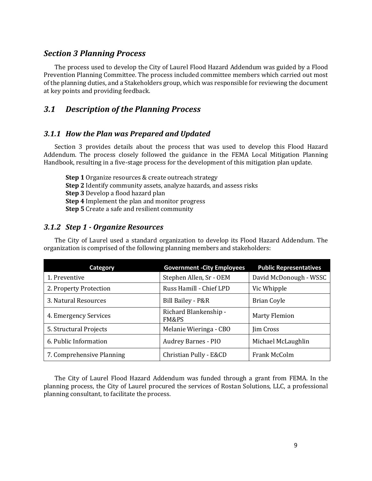### *Section 3 Planning Process*

The process used to develop the City of Laurel Flood Hazard Addendum was guided by a Flood Prevention Planning Committee. The process included committee members which carried out most of the planning duties, and a Stakeholders group, which was responsible for reviewing the document at key points and providing feedback.

## *3.1 Description of the Planning Process*

### *3.1.1 How the Plan was Prepared and Updated*

Section 3 provides details about the process that was used to develop this Flood Hazard Addendum. The process closely followed the guidance in the FEMA Local Mitigation Planning Handbook, resulting in a five-stage process for the development of this mitigation plan update.

**Step 1** Organize resources & create outreach strategy **Step 2** Identify community assets, analyze hazards, and assess risks **Step 3** Develop a flood hazard plan **Step 4** Implement the plan and monitor progress **Step 5** Create a safe and resilient community

### *3.1.2 Step 1 - Organize Resources*

The City of Laurel used a standard organization to develop its Flood Hazard Addendum. The organization is comprised of the following planning members and stakeholders:

| Category                  | <b>Government - City Employees</b> | <b>Public Representatives</b> |
|---------------------------|------------------------------------|-------------------------------|
| 1. Preventive             | Stephen Allen, Sr - OEM            | David McDonough - WSSC        |
| 2. Property Protection    | Russ Hamill - Chief LPD            | Vic Whipple                   |
| 3. Natural Resources      | Bill Bailey - P&R                  | <b>Brian Coyle</b>            |
| 4. Emergency Services     | Richard Blankenship -<br>FM&PS     | <b>Marty Flemion</b>          |
| 5. Structural Projects    | Melanie Wieringa - CBO             | <b>Jim Cross</b>              |
| 6. Public Information     | <b>Audrey Barnes - PIO</b>         | Michael McLaughlin            |
| 7. Comprehensive Planning | Christian Pully - E&CD             | Frank McColm                  |

The City of Laurel Flood Hazard Addendum was funded through a grant from FEMA. In the planning process, the City of Laurel procured the services of Rostan Solutions, LLC, a professional planning consultant, to facilitate the process.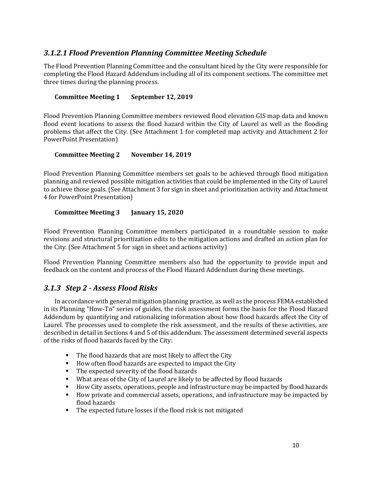## *3.1.2.1 Flood Prevention Planning Committee Meeting Schedule*

The Flood Prevention Planning Committee and the consultant hired by the City were responsible for completing the Flood Hazard Addendum including all of its component sections. The committee met three times during the planning process.

#### **Committee Meeting 1 September 12, 2019**

Flood Prevention Planning Committee members reviewed flood elevation GIS map data and known flood event locations to assess the flood hazard within the City of Laurel as well as the flooding problems that affect the City. (See Attachment 1 for completed map activity and Attachment 2 for PowerPoint Presentation)

#### **Committee Meeting 2** November 14, 2019

Flood Prevention Planning Committee members set goals to be achieved through flood mitigation planning and reviewed possible mitigation activities that could be implemented in the City of Laurel to achieve those goals. (See Attachment 3 for sign in sheet and prioritization activity and Attachment 4 for PowerPoint Presentation)

### **Committee Meeting 3 January 15, 2020**

Flood Prevention Planning Committee members participated in a roundtable session to make revisions and structural prioritization edits to the mitigation actions and drafted an action plan for the City. (See Attachment 5 for sign in sheet and actions activity)

Flood Prevention Planning Committee members also had the opportunity to provide input and feedback on the content and process of the Flood Hazard Addendum during these meetings.

## *3.1.3 Step 2 - Assess Flood Risks*

In accordance with general mitigation planning practice, as well as the process FEMA established in its Planning "How-To" series of guides, the risk assessment forms the basis for the Flood Hazard Addendum by quantifying and rationalizing information about how flood hazards affect the City of Laurel. The processes used to complete the risk assessment, and the results of these activities, are described in detail in Sections 4 and 5 of this addendum. The assessment determined several aspects of the risks of flood hazards faced by the City:

- The flood hazards that are most likely to affect the City
- How often flood hazards are expected to impact the City
- The expected severity of the flood hazards
- What areas of the City of Laurel are likely to be affected by flood hazards
- How City assets, operations, people and infrastructure may be impacted by flood hazards
- How private and commercial assets, operations, and infrastructure may be impacted by flood hazards
- **•** The expected future losses if the flood risk is not mitigated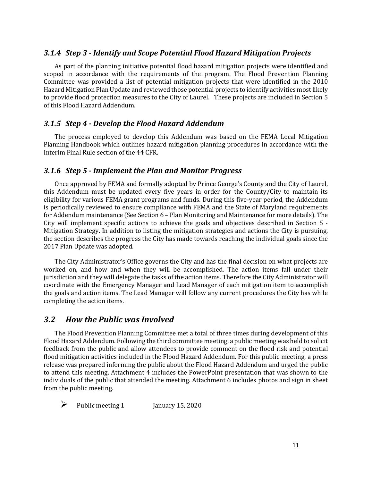#### *3.1.4 Step 3 - Identify and Scope Potential Flood Hazard Mitigation Projects*

As part of the planning initiative potential flood hazard mitigation projects were identified and scoped in accordance with the requirements of the program. The Flood Prevention Planning Committee was provided a list of potential mitigation projects that were identified in the 2010 Hazard Mitigation Plan Update and reviewed those potential projects to identify activities most likely to provide flood protection measures to the City of Laurel. These projects are included in Section 5 of this Flood Hazard Addendum.

### *3.1.5 Step 4 - Develop the Flood Hazard Addendum*

The process employed to develop this Addendum was based on the FEMA Local Mitigation Planning Handbook which outlines hazard mitigation planning procedures in accordance with the Interim Final Rule section of the 44 CFR.

#### *3.1.6 Step 5 - Implement the Plan and Monitor Progress*

Once approved by FEMA and formally adopted by Prince George's County and the City of Laurel, this Addendum must be updated every five years in order for the County/City to maintain its eligibility for various FEMA grant programs and funds. During this five-year period, the Addendum is periodically reviewed to ensure compliance with FEMA and the State of Maryland requirements for Addendum maintenance (See Section 6 – Plan Monitoring and Maintenance for more details). The City will implement specific actions to achieve the goals and objectives described in Section  $5$  -Mitigation Strategy. In addition to listing the mitigation strategies and actions the City is pursuing, the section describes the progress the City has made towards reaching the individual goals since the 2017 Plan Update was adopted.

The City Administrator's Office governs the City and has the final decision on what projects are worked on, and how and when they will be accomplished. The action items fall under their jurisdiction and they will delegate the tasks of the action items. Therefore the City Administrator will coordinate with the Emergency Manager and Lead Manager of each mitigation item to accomplish the goals and action items. The Lead Manager will follow any current procedures the City has while completing the action items.

#### *3.2 How the Public was Involved*

The Flood Prevention Planning Committee met a total of three times during development of this Flood Hazard Addendum. Following the third committee meeting, a public meeting was held to solicit feedback from the public and allow attendees to provide comment on the flood risk and potential flood mitigation activities included in the Flood Hazard Addendum. For this public meeting, a press release was prepared informing the public about the Flood Hazard Addendum and urged the public to attend this meeting. Attachment 4 includes the PowerPoint presentation that was shown to the individuals of the public that attended the meeting. Attachment 6 includes photos and sign in sheet from the public meeting.

Public meeting 1 [anuary 15, 2020]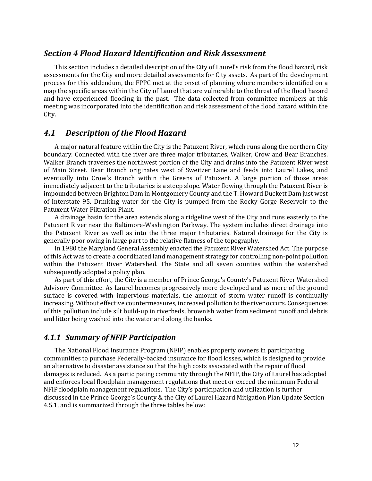### *Section 4 Flood Hazard Identification and Risk Assessment*

This section includes a detailed description of the City of Laurel's risk from the flood hazard, risk assessments for the City and more detailed assessments for City assets. As part of the development process for this addendum, the FPPC met at the onset of planning where members identified on a map the specific areas within the City of Laurel that are vulnerable to the threat of the flood hazard and have experienced flooding in the past. The data collected from committee members at this meeting was incorporated into the identification and risk assessment of the flood hazard within the City.

### *4.1 Description of the Flood Hazard*

A major natural feature within the City is the Patuxent River, which runs along the northern City boundary. Connected with the river are three major tributaries, Walker, Crow and Bear Branches. Walker Branch traverses the northwest portion of the City and drains into the Patuxent River west of Main Street. Bear Branch originates west of Sweitzer Lane and feeds into Laurel Lakes, and eventually into Crow's Branch within the Greens of Patuxent. A large portion of those areas immediately adjacent to the tributaries is a steep slope. Water flowing through the Patuxent River is impounded between Brighton Dam in Montgomery County and the T. Howard Duckett Dam just west of Interstate 95. Drinking water for the City is pumped from the Rocky Gorge Reservoir to the Patuxent Water Filtration Plant.

A drainage basin for the area extends along a ridgeline west of the City and runs easterly to the Patuxent River near the Baltimore-Washington Parkway. The system includes direct drainage into the Patuxent River as well as into the three major tributaries. Natural drainage for the City is generally poor owing in large part to the relative flatness of the topography.

In 1980 the Maryland General Assembly enacted the Patuxent River Watershed Act. The purpose of this Act was to create a coordinated land management strategy for controlling non-point pollution within the Patuxent River Watershed. The State and all seven counties within the watershed subsequently adopted a policy plan.

As part of this effort, the City is a member of Prince George's County's Patuxent River Watershed Advisory Committee. As Laurel becomes progressively more developed and as more of the ground surface is covered with impervious materials, the amount of storm water runoff is continually increasing. Without effective countermeasures, increased pollution to the river occurs. Consequences of this pollution include silt build-up in riverbeds, brownish water from sediment runoff and debris and litter being washed into the water and along the banks.

### *4.1.1 Summary of NFIP Participation*

The National Flood Insurance Program (NFIP) enables property owners in participating communities to purchase Federally-backed insurance for flood losses, which is designed to provide an alternative to disaster assistance so that the high costs associated with the repair of flood damages is reduced. As a participating community through the NFIP, the City of Laurel has adopted and enforces local floodplain management regulations that meet or exceed the minimum Federal NFIP floodplain management regulations. The City's participation and utilization is further discussed in the Prince George's County & the City of Laurel Hazard Mitigation Plan Update Section 4.5.1, and is summarized through the three tables below: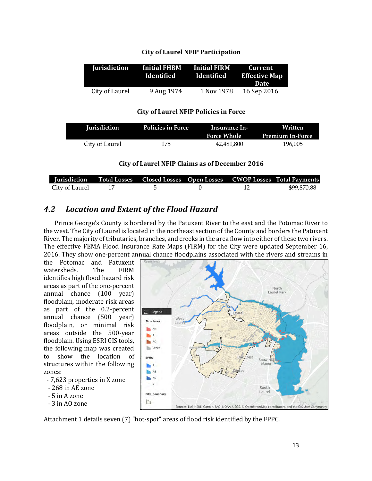| <b>Jurisdiction</b> | <b>Initial FHBM</b><br>Identified | <b>Example 1</b> Initial FIRM<br>Identified | Current<br><b>Effective Map</b> |  |
|---------------------|-----------------------------------|---------------------------------------------|---------------------------------|--|
|                     |                                   |                                             | <b>Date</b>                     |  |
| City of Laurel      | 9 Aug 1974                        | 1 Nov 1978                                  | 16 Sep 2016                     |  |

#### **City of Laurel NFIP Policies in Force**

| <b>Jurisdiction</b> | <b>Policies in Force</b> | Insurance In-<br><b>Force Whole</b> | Written<br><b>Premium In-Force</b> |
|---------------------|--------------------------|-------------------------------------|------------------------------------|
| City of Laurel      | 175                      | 42.481.800                          | 196.005                            |

#### **City of Laurel NFIP Claims as of December 2016**

|                   |            |  | Jurisdiction Total Losses Closed Losses Open Losses CWOP Losses Total Payments |
|-------------------|------------|--|--------------------------------------------------------------------------------|
| City of Laurel 17 | $\sim$ 5 0 |  | \$99.870.88                                                                    |

## *4.2 Location and Extent of the Flood Hazard*

Prince George's County is bordered by the Patuxent River to the east and the Potomac River to the west. The City of Laurel is located in the northeast section of the County and borders the Patuxent River. The majority of tributaries, branches, and creeks in the area flow into either of these two rivers. The effective FEMA Flood Insurance Rate Maps (FIRM) for the City were updated September 16, 2016. They show one-percent annual chance floodplains associated with the rivers and streams in

the Potomac and Patuxent watersheds. The FIRM identifies high flood hazard risk areas as part of the one-percent annual chance (100 year) floodplain, moderate risk areas as part of the 0.2-percent annual chance (500 year) floodplain, or minimal risk areas outside the 500-year floodplain. Using ESRI GIS tools, the following map was created to show the location of structures within the following zones:

- 7,623 properties in X zone
- 268 in AE zone
- 5 in A zone
- 3 in AO zone



Attachment 1 details seven (7) "hot-spot" areas of flood risk identified by the FPPC.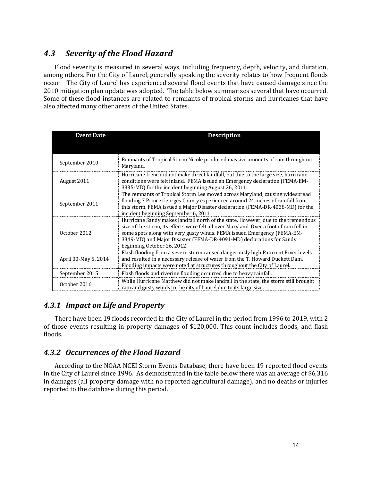## *4.3 Severity of the Flood Hazard*

Flood severity is measured in several ways, including frequency, depth, velocity, and duration, among others. For the City of Laurel, generally speaking the severity relates to how frequent floods occur. The City of Laurel has experienced several flood events that have caused damage since the 2010 mitigation plan update was adopted. The table below summarizes several that have occurred. Some of these flood instances are related to remnants of tropical storms and hurricanes that have also affected many other areas of the United States.

| <b>Event Date</b>    | <b>Description</b>                                                                                                                                                                                                                                                                                                                                             |
|----------------------|----------------------------------------------------------------------------------------------------------------------------------------------------------------------------------------------------------------------------------------------------------------------------------------------------------------------------------------------------------------|
|                      |                                                                                                                                                                                                                                                                                                                                                                |
| September 2010       | Remnants of Tropical Storm Nicole produced massive amounts of rain throughout<br>Maryland.                                                                                                                                                                                                                                                                     |
| August 2011          | Hurricane Irene did not make direct landfall, but due to the large size, hurricane<br>conditions were felt inland. FEMA issued an Emergency declaration (FEMA-EM-<br>3335-MD) for the incident beginning August 26, 2011.                                                                                                                                      |
| September 2011       | The remnants of Tropical Storm Lee moved across Maryland, causing widespread<br>flooding.7 Prince Georges County experienced around 24 inches of rainfall from<br>this storm. FEMA issued a Major Disaster declaration (FEMA-DR-4038-MD) for the<br>incident beginning September 6, 2011.                                                                      |
| October 2012         | Hurricane Sandy makes landfall north of the state. However, due to the tremendous<br>size of the storm, its effects were felt all over Maryland. Over a foot of rain fell in<br>some spots along with very gusty winds. FEMA issued Emergency (FEMA-EM-<br>3349-MD) and Major Disaster (FEMA-DR-4091-MD) declarations for Sandy<br>beginning October 26, 2012. |
| April 30-May 5, 2014 | Flash flooding from a severe storm caused dangerously high Patuxent River levels<br>and resulted in a necessary release of water from the T. Howard Duckett Dam.<br>Flooding impacts were noted at structures throughout the City of Laurel.                                                                                                                   |
| September 2015       | Flash floods and riverine flooding occurred due to heavy rainfall.                                                                                                                                                                                                                                                                                             |
| October 2016         | While Hurricane Matthew did not make landfall in the state, the storm still brought<br>rain and gusty winds to the city of Laurel due to its large size.                                                                                                                                                                                                       |

## **4.3.1 Impact on Life and Property**

There have been 19 floods recorded in the City of Laurel in the period from 1996 to 2019, with 2 of those events resulting in property damages of \$120,000. This count includes floods, and flash floods. 

## *4.3.2 Occurrences of the Flood Hazard*

According to the NOAA NCEI Storm Events Database, there have been 19 reported flood events in the City of Laurel since 1996. As demonstrated in the table below there was an average of \$6,316 in damages (all property damage with no reported agricultural damage), and no deaths or injuries reported to the database during this period.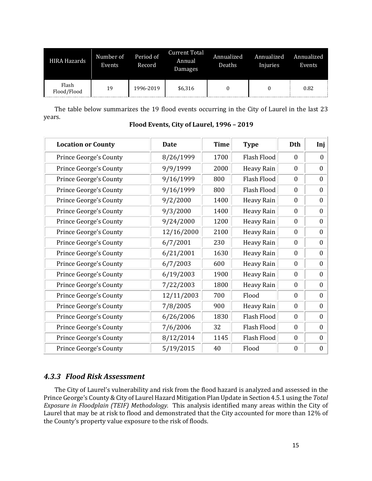| <b>HIRA Hazards</b>  | Period of<br>Number of<br>Annual<br><b>Events</b><br>Record<br>Damages |           | <b>Current Total</b> | Annualized<br>Deaths | Annualized<br>Injuries | Annualized<br>Events |
|----------------------|------------------------------------------------------------------------|-----------|----------------------|----------------------|------------------------|----------------------|
| Flash<br>Flood/Flood | 19                                                                     | 1996-2019 | \$6,316              |                      |                        | 0.82                 |

The table below summarizes the 19 flood events occurring in the City of Laurel in the last 23 years. 

| <b>Location or County</b>     | <b>Date</b> | <b>Time</b> | <b>Type</b>        | Dth              | Inj              |
|-------------------------------|-------------|-------------|--------------------|------------------|------------------|
| Prince George's County        | 8/26/1999   | 1700        | Flash Flood        | $\theta$         | $\mathbf{0}$     |
| Prince George's County        | 9/9/1999    | 2000        | <b>Heavy Rain</b>  | $\mathbf{0}$     | $\mathbf{0}$     |
| <b>Prince George's County</b> | 9/16/1999   | 800         | Flash Flood        | $\mathbf{0}$     | $\mathbf{0}$     |
| <b>Prince George's County</b> | 9/16/1999   | 800         | Flash Flood        | $\mathbf{0}$     | $\mathbf{0}$     |
| Prince George's County        | 9/2/2000    | 1400        | <b>Heavy Rain</b>  | $\mathbf{0}$     | $\theta$         |
| Prince George's County        | 9/3/2000    | 1400        | <b>Heavy Rain</b>  | $\boldsymbol{0}$ | $\boldsymbol{0}$ |
| Prince George's County        | 9/24/2000   | 1200        | <b>Heavy Rain</b>  | $\mathbf{0}$     | $\Omega$         |
| Prince George's County        | 12/16/2000  | 2100        | <b>Heavy Rain</b>  | $\mathbf{0}$     | $\mathbf{0}$     |
| Prince George's County        | 6/7/2001    | 230         | <b>Heavy Rain</b>  | $\mathbf{0}$     | $\mathbf{0}$     |
| Prince George's County        | 6/21/2001   | 1630        | Heavy Rain         | $\mathbf{0}$     | $\mathbf{0}$     |
| Prince George's County        | 6/7/2003    | 600         | <b>Heavy Rain</b>  | $\boldsymbol{0}$ | $\boldsymbol{0}$ |
| Prince George's County        | 6/19/2003   | 1900        | <b>Heavy Rain</b>  | $\mathbf{0}$     | $\bf{0}$         |
| Prince George's County        | 7/22/2003   | 1800        | <b>Heavy Rain</b>  | $\mathbf{0}$     | $\Omega$         |
| Prince George's County        | 12/11/2003  | 700         | Flood              | $\mathbf{0}$     | $\mathbf{0}$     |
| Prince George's County        | 7/8/2005    | 900         | <b>Heavy Rain</b>  | $\mathbf{0}$     | $\mathbf{0}$     |
| Prince George's County        | 6/26/2006   | 1830        | Flash Flood        | $\mathbf{0}$     | $\mathbf{0}$     |
| Prince George's County        | 7/6/2006    | 32          | <b>Flash Flood</b> | $\mathbf{0}$     | $\theta$         |
| Prince George's County        | 8/12/2014   | 1145        | Flash Flood        | $\mathbf{0}$     | $\Omega$         |
| Prince George's County        | 5/19/2015   | 40          | Flood              | $\boldsymbol{0}$ | $\boldsymbol{0}$ |

#### **Flood Events, City of Laurel, 1996 – 2019**

## *4.3.3 Flood Risk Assessment*

The City of Laurel's vulnerability and risk from the flood hazard is analyzed and assessed in the Prince George's County & City of Laurel Hazard Mitigation Plan Update in Section 4.5.1 using the Total *Exposure in Floodplain (TEIF) Methodology.* This analysis identified many areas within the City of Laurel that may be at risk to flood and demonstrated that the City accounted for more than 12% of the County's property value exposure to the risk of floods.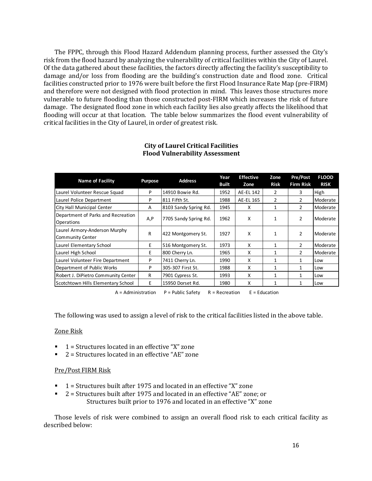The FPPC, through this Flood Hazard Addendum planning process, further assessed the City's risk from the flood hazard by analyzing the vulnerability of critical facilities within the City of Laurel. Of the data gathered about these facilities, the factors directly affecting the facility's susceptibility to damage and/or loss from flooding are the building's construction date and flood zone. Critical facilities constructed prior to 1976 were built before the first Flood Insurance Rate Map (pre-FIRM) and therefore were not designed with flood protection in mind. This leaves those structures more vulnerable to future flooding than those constructed post-FIRM which increases the risk of future damage. The designated flood zone in which each facility lies also greatly affects the likelihood that flooding will occur at that location. The table below summarizes the flood event vulnerability of critical facilities in the City of Laurel, in order of greatest risk.

| <b>Name of Facility</b>                                  | <b>Address</b><br>Purpose |                       | Year         | <b>Effective</b> | Zone         | <b>Pre/Post</b>  | <b>FLOOD</b> |
|----------------------------------------------------------|---------------------------|-----------------------|--------------|------------------|--------------|------------------|--------------|
|                                                          |                           |                       | <b>Built</b> | Zone             | <b>Risk</b>  | <b>Firm Risk</b> | <b>RISK</b>  |
| Laurel Volunteer Rescue Squad                            | P                         | 14910 Bowie Rd.       | 1952         | AE-EL 142        | 2            | 3                | High         |
| Laurel Police Department                                 | P                         | 811 Fifth St.         | 1988         | AE-EL 165        | 2            |                  | Moderate     |
| City Hall Municipal Center                               | A                         | 8103 Sandy Spring Rd. | 1945         | X                | 1            |                  | Moderate     |
| Department of Parks and Recreation<br>Operations         | A, P                      | 7705 Sandy Spring Rd. | 1962         | x                | $\mathbf{1}$ | $\mathcal{P}$    | Moderate     |
| Laurel Armory-Anderson Murphy<br><b>Community Center</b> | R                         | 422 Montgomery St.    | 1927         | x                |              | $\mathcal{P}$    | Moderate     |
| Laurel Elementary School                                 | F                         | 516 Montgomery St.    | 1973         | X                | 1            | $\mathcal{P}$    | Moderate     |
| Laurel High School                                       | E                         | 800 Cherry Ln.        | 1965         | X                | $\mathbf{1}$ | $\mathcal{P}$    | Moderate     |
| Laurel Volunteer Fire Department                         | P                         | 7411 Cherry Ln.       | 1990         | X                | 1            | 1                | Low          |
| Department of Public Works                               | P                         | 305-307 First St.     | 1988         | X                | 1            |                  | Low          |
| Robert J. DiPietro Community Center                      | R                         | 7901 Cypress St.      | 1993         | x                | 1            |                  | Low          |
| Scotchtown Hills Elementary School                       | E                         | 15950 Dorset Rd.      | 1980         | X                | $\mathbf{1}$ |                  | Low          |

#### **City of Laurel Critical Facilities Flood Vulnerability Assessment**

 $A =$  Administration  $P =$  Public Safety  $R =$  Recreation  $E =$  Education

The following was used to assign a level of risk to the critical facilities listed in the above table.

#### Zone Risk

- $1$  = Structures located in an effective "X" zone
- $2$  = Structures located in an effective "AE" zone

#### Pre/Post FIRM Risk

- $1$  = Structures built after 1975 and located in an effective "X" zone
- $\blacksquare$  2 = Structures built after 1975 and located in an effective "AE" zone; or Structures built prior to 1976 and located in an effective "X" zone

Those levels of risk were combined to assign an overall flood risk to each critical facility as described below: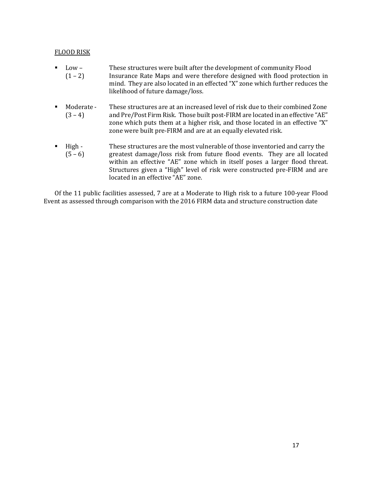#### **FLOOD RISK**

- Low These structures were built after the development of community Flood  $(1 - 2)$  Insurance Rate Maps and were therefore designed with flood protection in mind. They are also located in an effected "X" zone which further reduces the likelihood of future damage/loss.
- Moderate These structures are at an increased level of risk due to their combined Zone (3 – 4) and Pre/Post Firm Risk. Those built post-FIRM are located in an effective "AE" zone which puts them at a higher risk, and those located in an effective "X" zone were built pre-FIRM and are at an equally elevated risk.
- High These structures are the most vulnerable of those inventoried and carry the  $(5 - 6)$  greatest damage/loss risk from future flood events. They are all located within an effective "AE" zone which in itself poses a larger flood threat. Structures given a "High" level of risk were constructed pre-FIRM and are located in an effective "AE" zone.

Of the 11 public facilities assessed, 7 are at a Moderate to High risk to a future 100-year Flood Event as assessed through comparison with the 2016 FIRM data and structure construction date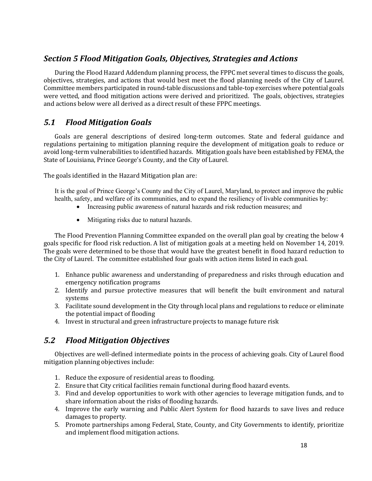## *Section 5 Flood Mitigation Goals, Objectives, Strategies and Actions*

During the Flood Hazard Addendum planning process, the FPPC met several times to discuss the goals, objectives, strategies, and actions that would best meet the flood planning needs of the City of Laurel. Committee members participated in round-table discussions and table-top exercises where potential goals were vetted, and flood mitigation actions were derived and prioritized. The goals, objectives, strategies and actions below were all derived as a direct result of these FPPC meetings.

## *5.1 Flood Mitigation Goals*

Goals are general descriptions of desired long-term outcomes. State and federal guidance and regulations pertaining to mitigation planning require the development of mitigation goals to reduce or avoid long-term vulnerabilities to identified hazards. Mitigation goals have been established by FEMA, the State of Louisiana, Prince George's County, and the City of Laurel.

The goals identified in the Hazard Mitigation plan are:

It is the goal of Prince George's County and the City of Laurel, Maryland, to protect and improve the public health, safety, and welfare of its communities, and to expand the resiliency of livable communities by:

- Increasing public awareness of natural hazards and risk reduction measures; and
- Mitigating risks due to natural hazards.

The Flood Prevention Planning Committee expanded on the overall plan goal by creating the below 4 goals specific for flood risk reduction. A list of mitigation goals at a meeting held on November 14, 2019. The goals were determined to be those that would have the greatest benefit in flood hazard reduction to the City of Laurel. The committee established four goals with action items listed in each goal.

- 1. Enhance public awareness and understanding of preparedness and risks through education and emergency notification programs
- 2. Identify and pursue protective measures that will benefit the built environment and natural systems
- 3. Facilitate sound development in the City through local plans and regulations to reduce or eliminate the potential impact of flooding
- 4. Invest in structural and green infrastructure projects to manage future risk

## *5.2 Flood Mitigation Objectives*

Objectives are well-defined intermediate points in the process of achieving goals. City of Laurel flood mitigation planning objectives include:

- 1. Reduce the exposure of residential areas to flooding.
- 2. Ensure that City critical facilities remain functional during flood hazard events.
- 3. Find and develop opportunities to work with other agencies to leverage mitigation funds, and to share information about the risks of flooding hazards.
- 4. Improve the early warning and Public Alert System for flood hazards to save lives and reduce damages to property.
- 5. Promote partnerships among Federal, State, County, and City Governments to identify, prioritize and implement flood mitigation actions.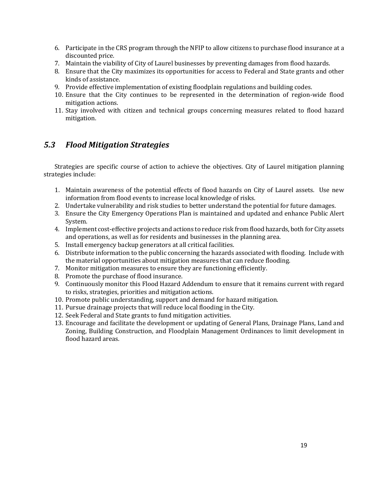- 6. Participate in the CRS program through the NFIP to allow citizens to purchase flood insurance at a discounted price.
- 7. Maintain the viability of City of Laurel businesses by preventing damages from flood hazards.
- 8. Ensure that the City maximizes its opportunities for access to Federal and State grants and other kinds of assistance.
- 9. Provide effective implementation of existing floodplain regulations and building codes.
- 10. Ensure that the City continues to be represented in the determination of region-wide flood mitigation actions.
- 11. Stay involved with citizen and technical groups concerning measures related to flood hazard mitigation.

## *5.3 Flood Mitigation Strategies*

Strategies are specific course of action to achieve the objectives. City of Laurel mitigation planning strategies include:

- 1. Maintain awareness of the potential effects of flood hazards on City of Laurel assets. Use new information from flood events to increase local knowledge of risks.
- 2. Undertake vulnerability and risk studies to better understand the potential for future damages.
- 3. Ensure the City Emergency Operations Plan is maintained and updated and enhance Public Alert System.
- 4. Implement cost-effective projects and actions to reduce risk from flood hazards, both for City assets and operations, as well as for residents and businesses in the planning area.
- 5. Install emergency backup generators at all critical facilities.
- 6. Distribute information to the public concerning the hazards associated with flooding. Include with the material opportunities about mitigation measures that can reduce flooding.
- 7. Monitor mitigation measures to ensure they are functioning efficiently.
- 8. Promote the purchase of flood insurance.
- 9. Continuously monitor this Flood Hazard Addendum to ensure that it remains current with regard to risks, strategies, priorities and mitigation actions.
- 10. Promote public understanding, support and demand for hazard mitigation.
- 11. Pursue drainage projects that will reduce local flooding in the City.
- 12. Seek Federal and State grants to fund mitigation activities.
- 13. Encourage and facilitate the development or updating of General Plans, Drainage Plans, Land and Zoning, Building Construction, and Floodplain Management Ordinances to limit development in flood hazard areas.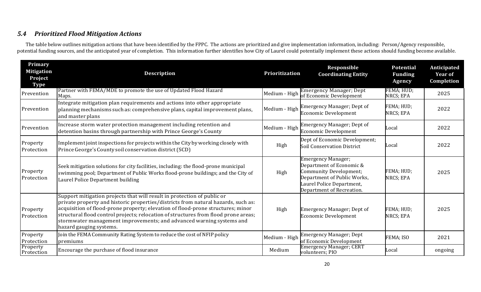## *5.4 Prioritized Flood Mitigation Actions*

The table below outlines mitigation actions that have been identified by the FPPC. The actions are prioritized and give implementation information, including: Person/Agency responsible, potential funding sources, and the anticipated year of completion. This information further identifies how City of Laurel could potentially implement these actions should funding become available.

| Primary<br><b>Mitigation</b><br>Project<br><b>Type</b> | <b>Description</b>                                                                                                                                                                                                                                                                                                                                                                                                                        | <b>Prioritization</b> | Responsible<br><b>Coordinating Entity</b>                                                                                                                                       | <b>Potential</b><br><b>Funding</b><br>Agency | Anticipated<br><b>Year of</b><br>Completion |
|--------------------------------------------------------|-------------------------------------------------------------------------------------------------------------------------------------------------------------------------------------------------------------------------------------------------------------------------------------------------------------------------------------------------------------------------------------------------------------------------------------------|-----------------------|---------------------------------------------------------------------------------------------------------------------------------------------------------------------------------|----------------------------------------------|---------------------------------------------|
| Prevention                                             | Partner with FEMA/MDE to promote the use of Updated Flood Hazard<br>Maps.                                                                                                                                                                                                                                                                                                                                                                 | Medium - High         | <b>Emergency Manager; Dept</b><br>of Economic Development                                                                                                                       | FEMA; HUD;<br>NRCS; EPA                      | 2025                                        |
| Prevention                                             | Integrate mitigation plan requirements and actions into other appropriate<br>planning mechanisms such as: comprehensive plans, capital improvement plans,<br>and master plans                                                                                                                                                                                                                                                             | Medium - High         | <b>Emergency Manager; Dept of</b><br><b>Economic Development</b>                                                                                                                | FEMA; HUD;<br>NRCS; EPA                      | 2022                                        |
| Prevention                                             | Increase storm water protection management including retention and<br>detention basins through partnership with Prince George's County                                                                                                                                                                                                                                                                                                    | Medium - High         | <b>Emergency Manager; Dept of</b><br><b>Economic Development</b>                                                                                                                | Local                                        | 2022                                        |
| Property<br>Protection                                 | Implement joint inspections for projects within the City by working closely with<br>Prince George's County soil conservation district (SCD)                                                                                                                                                                                                                                                                                               | High                  | Dept of Economic Development;<br>Soil Conservation District                                                                                                                     | Local                                        | 2022                                        |
| Property<br>Protection                                 | Seek mitigation solutions for city facilities, including: the flood-prone municipal<br>swimming pool; Department of Public Works flood-prone buildings; and the City of<br>Laurel Police Department building                                                                                                                                                                                                                              | High                  | <b>Emergency Manager;</b><br>Department of Economic &<br><b>Community Development;</b><br>Department of Public Works,<br>Laurel Police Department,<br>Department of Recreation. | FEMA; HUD;<br>NRCS; EPA                      | 2025                                        |
| Property<br>Protection                                 | Support mitigation projects that will result in protection of public or<br>private property and historic properties/districts from natural hazards, such as:<br>acquisition of flood-prone property; elevation of flood-prone structures; minor<br>structural flood control projects; relocation of structures from flood prone areas;<br>stormwater management improvements; and advanced warning systems and<br>hazard gauging systems. | High                  | <b>Emergency Manager; Dept of</b><br><b>Economic Development</b>                                                                                                                | FEMA; HUD;<br>NRCS; EPA                      | 2025                                        |
| Property<br>Protection                                 | Join the FEMA Community Rating System to reduce the cost of NFIP policy<br>premiums                                                                                                                                                                                                                                                                                                                                                       | Medium - High         | <b>Emergency Manager; Dept</b><br>of Economic Development                                                                                                                       | FEMA; ISO                                    | 2021                                        |
| Property<br>Protection                                 | Encourage the purchase of flood insurance                                                                                                                                                                                                                                                                                                                                                                                                 | Medium                | Emergency Manager; CERT<br>volunteers; PIO                                                                                                                                      | Local                                        | ongoing                                     |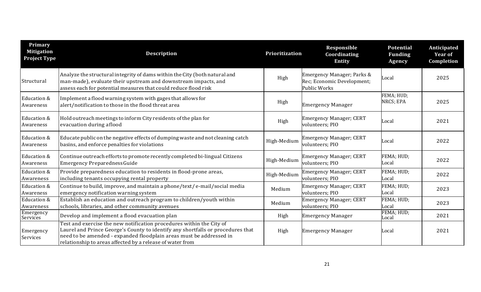| Primary<br><b>Mitigation</b><br><b>Project Type</b> | <b>Description</b>                                                                                                                                                                                                                                                                          | Prioritization | Responsible<br>Coordinating<br><b>Entity</b>                                    | <b>Potential</b><br><b>Funding</b><br><b>Agency</b> | Anticipated<br><b>Year of</b><br>Completion |
|-----------------------------------------------------|---------------------------------------------------------------------------------------------------------------------------------------------------------------------------------------------------------------------------------------------------------------------------------------------|----------------|---------------------------------------------------------------------------------|-----------------------------------------------------|---------------------------------------------|
| Structural                                          | Analyze the structural integrity of dams within the City (both natural and<br>man-made), evaluate their upstream and downstream impacts, and<br>assess each for potential measures that could reduce flood risk                                                                             | High           | Emergency Manager; Parks &<br>Rec; Economic Development;<br><b>Public Works</b> | Local                                               | 2025                                        |
| Education &<br>Awareness                            | Implement a flood warning system with gages that allows for<br>alert/notification to those in the flood threat area                                                                                                                                                                         | High           | <b>Emergency Manager</b>                                                        | FEMA; HUD;<br>NRCS; EPA                             | 2025                                        |
| Education &<br>Awareness                            | Hold outreach meetings to inform City residents of the plan for<br>evacuation during aflood                                                                                                                                                                                                 | High           | <b>Emergency Manager; CERT</b><br>volunteers; PIO                               | Local                                               | 2021                                        |
| Education &<br>Awareness                            | Educate public on the negative effects of dumping waste and not cleaning catch<br>basins, and enforce penalties for violations                                                                                                                                                              | High-Medium    | <b>Emergency Manager; CERT</b><br>volunteers; PIO                               | Local                                               | 2022                                        |
| Education &<br>Awareness                            | Continue outreach efforts to promote recently completed bi-lingual Citizens<br><b>Emergency PreparednessGuide</b>                                                                                                                                                                           | High-Medium    | <b>Emergency Manager; CERT</b><br>volunteers; PIO                               | FEMA; HUD;<br>Local                                 | 2022                                        |
| Education &<br>Awareness                            | Provide preparedness education to residents in flood-prone areas,<br>including tenants occupying rental property                                                                                                                                                                            | High-Medium    | Emergency Manager; CERT<br>volunteers; PIO                                      | FEMA; HUD;<br>Local                                 | 2022                                        |
| Education &<br>Awareness                            | Continue to build, improve, and maintain a phone/text/e-mail/social media<br>emergency notification warning system                                                                                                                                                                          | Medium         | <b>Emergency Manager; CERT</b><br>volunteers; PIO                               | FEMA; HUD;<br>Local                                 | 2023                                        |
| Education &<br>Awareness                            | Establish an education and outreach program to children/youth within<br>schools, libraries, and other community avenues                                                                                                                                                                     | Medium         | <b>Emergency Manager; CERT</b><br>volunteers; PIO                               | FEMA; HUD;<br>Local                                 | 2023                                        |
| Emergency<br>Services                               | Develop and implement a flood evacuation plan                                                                                                                                                                                                                                               | High           | <b>Emergency Manager</b>                                                        | FEMA; HUD;<br>Local                                 | 2021                                        |
| Emergency<br>Services                               | Test and exercise the new notification procedures within the City of<br>Laurel and Prince George's County to identify any shortfalls or procedures that<br>need to be amended - expanded floodplain areas must be addressed in<br>relationship to areas affected by a release of water from | High           | <b>Emergency Manager</b>                                                        | Local                                               | 2021                                        |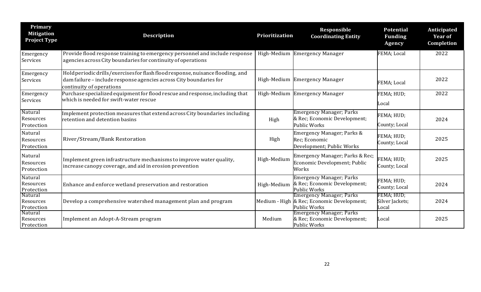| Primary<br><b>Mitigation</b><br><b>Project Type</b> | <b>Description</b>                                                                                                                                                                | Prioritization | Responsible<br><b>Coordinating Entity</b>                                                     | <b>Potential</b><br><b>Funding</b><br><b>Agency</b> | Anticipated<br><b>Year of</b><br>Completion |
|-----------------------------------------------------|-----------------------------------------------------------------------------------------------------------------------------------------------------------------------------------|----------------|-----------------------------------------------------------------------------------------------|-----------------------------------------------------|---------------------------------------------|
| Emergency<br>Services                               | Provide flood response training to emergency personnel and include response<br>agencies across City boundaries for continuity of operations                                       |                | High-Medium Emergency Manager                                                                 | FEMA; Local                                         | 2022                                        |
| Emergency<br>Services                               | Hold periodic drills/exercises for flash flood response, nuisance flooding, and<br>dam failure - include response agencies across City boundaries for<br>continuity of operations |                | High-Medium Emergency Manager                                                                 | FEMA; Local                                         | 2022                                        |
| Emergency<br>Services                               | Purchase specialized equipment for flood rescue and response, including that<br>which is needed for swift-water rescue                                                            |                | High-Medium Emergency Manager                                                                 | FEMA; HUD;<br>Local                                 | 2022                                        |
| Natural<br>Resources<br>Protection                  | Implement protection measures that extend across City boundaries including<br>retention and detention basins                                                                      | High           | <b>Emergency Manager; Parks</b><br>& Rec; Economic Development;<br><b>Public Works</b>        | FEMA; HUD;<br>County; Local                         | 2024                                        |
| Natural<br>Resources<br>Protection                  | River/Stream/Bank Restoration                                                                                                                                                     | High           | Emergency Manager; Parks &<br>Rec; Economic<br>Development; Public Works                      | FEMA; HUD;<br>County; Local                         | 2025                                        |
| Natural<br>Resources<br>Protection                  | Implement green infrastructure mechanisms to improve water quality,<br>increase canopy coverage, and aid in erosion prevention                                                    | High-Medium    | Emergency Manager; Parks & Rec;<br>Economic Development; Public<br>Works                      | FEMA; HUD;<br>County; Local                         | 2025                                        |
| Natural<br>Resources<br>Protection                  | Enhance and enforce wetland preservation and restoration                                                                                                                          | High-Medium    | <b>Emergency Manager; Parks</b><br>& Rec; Economic Development;<br><b>Public Works</b>        | FEMA; HUD;<br>County; Local                         | 2024                                        |
| Natural<br>Resources<br>Protection                  | Develop a comprehensive watershed management plan and program                                                                                                                     |                | <b>Emergency Manager; Parks</b><br>Medium - High & Rec; Economic Development;<br>Public Works | FEMA; HUD;<br>Silver Jackets;<br>Local              | 2024                                        |
| Natural<br>Resources<br>Protection                  | Implement an Adopt-A-Stream program                                                                                                                                               | Medium         | Emergency Manager; Parks<br>& Rec; Economic Development;<br>Public Works                      | Local                                               | 2025                                        |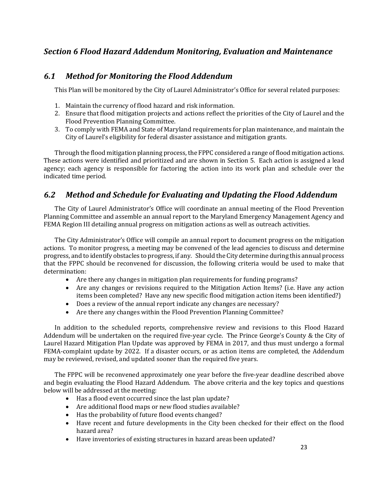## **Section 6 Flood Hazard Addendum Monitoring, Evaluation and Maintenance**

## *6.1 Method for Monitoring the Flood Addendum*

This Plan will be monitored by the City of Laurel Administrator's Office for several related purposes:

- 1. Maintain the currency of flood hazard and risk information.
- 2. Ensure that flood mitigation projects and actions reflect the priorities of the City of Laurel and the Flood Prevention Planning Committee.
- 3. To comply with FEMA and State of Maryland requirements for plan maintenance, and maintain the City of Laurel's eligibility for federal disaster assistance and mitigation grants.

Through the flood mitigation planning process, the FPPC considered a range of flood mitigation actions. These actions were identified and prioritized and are shown in Section 5. Each action is assigned a lead agency; each agency is responsible for factoring the action into its work plan and schedule over the indicated time period.

## *6.2 Method and Schedule for Evaluating and Updating the Flood Addendum*

The City of Laurel Administrator's Office will coordinate an annual meeting of the Flood Prevention Planning Committee and assemble an annual report to the Maryland Emergency Management Agency and FEMA Region III detailing annual progress on mitigation actions as well as outreach activities.

The City Administrator's Office will compile an annual report to document progress on the mitigation actions. To monitor progress, a meeting may be convened of the lead agencies to discuss and determine progress, and to identify obstacles to progress, if any. Should the City determine during this annual process that the FPPC should be reconvened for discussion, the following criteria would be used to make that determination:

- Are there any changes in mitigation plan requirements for funding programs?
- Are any changes or revisions required to the Mitigation Action Items? (i.e. Have any action items been completed? Have any new specific flood mitigation action items been identified?)
- Does a review of the annual report indicate any changes are necessary?
- Are there any changes within the Flood Prevention Planning Committee?

In addition to the scheduled reports, comprehensive review and revisions to this Flood Hazard Addendum will be undertaken on the required five-year cycle. The Prince George's County & the City of Laurel Hazard Mitigation Plan Update was approved by FEMA in 2017, and thus must undergo a formal FEMA-complaint update by 2022. If a disaster occurs, or as action items are completed, the Addendum may be reviewed, revised, and updated sooner than the required five years.

The FPPC will be reconvened approximately one year before the five-year deadline described above and begin evaluating the Flood Hazard Addendum. The above criteria and the key topics and questions below will be addressed at the meeting:

- Has a flood event occurred since the last plan update?
- Are additional flood maps or new flood studies available?
- Has the probability of future flood events changed?
- Have recent and future developments in the City been checked for their effect on the flood hazard area?
- Have inventories of existing structures in hazard areas been updated?